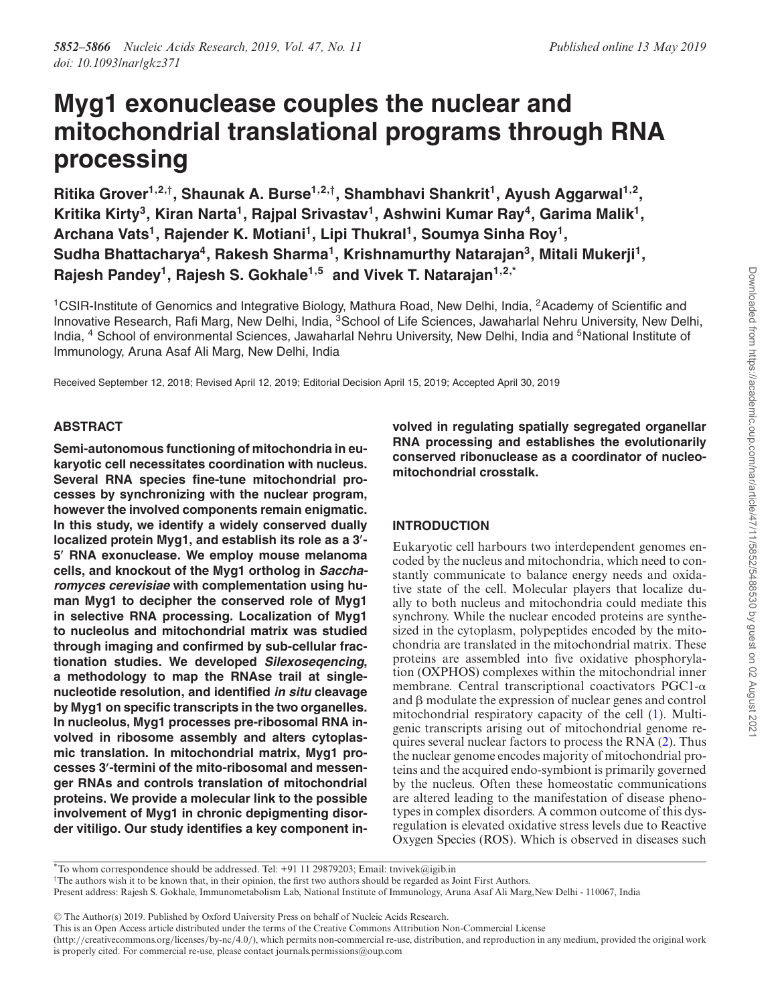# **Myg1 exonuclease couples the nuclear and mitochondrial translational programs through RNA processing**

**Ritika Grover1,2,**† **, Shaunak A. Burse1,2,**† **, Shambhavi Shankrit<sup>1</sup> , Ayush Aggarwal1,2 ,**  $K$ ritika Kirty $^3$ , Kiran Narta $^1$ , Rajpal Srivastav $^1$ , Ashwini Kumar Ray $^4$ , Garima Malik $^1$ , **Archana Vats<sup>1</sup> , Rajender K. Motiani<sup>1</sup> , Lipi Thukral<sup>1</sup> , Soumya Sinha Roy<sup>1</sup> , Sudha Bhattacharya<sup>4</sup> , Rakesh Sharma<sup>1</sup> , Krishnamurthy Natarajan<sup>3</sup> , Mitali Mukerji<sup>1</sup> , Rajesh Pandey<sup>1</sup> , Rajesh S. Gokhale1,5 and Vivek T. Natarajan1,2,\***

<sup>1</sup>CSIR-Institute of Genomics and Integrative Biology, Mathura Road, New Delhi, India, <sup>2</sup>Academy of Scientific and Innovative Research, Rafi Marg, New Delhi, India, <sup>3</sup>School of Life Sciences, Jawaharlal Nehru University, New Delhi, India, <sup>4</sup> School of environmental Sciences, Jawaharlal Nehru University, New Delhi, India and <sup>5</sup>National Institute of Immunology, Aruna Asaf Ali Marg, New Delhi, India

Received September 12, 2018; Revised April 12, 2019; Editorial Decision April 15, 2019; Accepted April 30, 2019

# **ABSTRACT**

**Semi-autonomous functioning of mitochondria in eukaryotic cell necessitates coordination with nucleus. Several RNA species fine-tune mitochondrial processes by synchronizing with the nuclear program, however the involved components remain enigmatic. In this study, we identify a widely conserved dually localized protein Myg1, and establish its role as a 3**′ **- 5** ′ **RNA exonuclease. We employ mouse melanoma cells, and knockout of the Myg1 ortholog in Saccharomyces cerevisiae with complementation using human Myg1 to decipher the conserved role of Myg1 in selective RNA processing. Localization of Myg1 to nucleolus and mitochondrial matrix was studied through imaging and confirmed by sub-cellular fractionation studies. We developed Silexoseqencing, a methodology to map the RNAse trail at singlenucleotide resolution, and identified in situ cleavage by Myg1 on specific transcripts in the two organelles. In nucleolus, Myg1 processes pre-ribosomal RNA involved in ribosome assembly and alters cytoplasmic translation. In mitochondrial matrix, Myg1 processes 3**′ **-termini of the mito-ribosomal and messenger RNAs and controls translation of mitochondrial proteins. We provide a molecular link to the possible involvement of Myg1 in chronic depigmenting disorder vitiligo. Our study identifies a key component in-** **volved in regulating spatially segregated organellar RNA processing and establishes the evolutionarily conserved ribonuclease as a coordinator of nucleomitochondrial crosstalk.**

# **INTRODUCTION**

Eukaryotic cell harbours two interdependent genomes encoded by the nucleus and mitochondria, which need to constantly communicate to balance energy needs and oxidative state of the cell. Molecular players that localize dually to both nucleus and mitochondria could mediate this synchrony. While the nuclear encoded proteins are synthesized in the cytoplasm, polypeptides encoded by the mitochondria are translated in the mitochondrial matrix. These proteins are assembled into five oxidative phosphorylation (OXPHOS) complexes within the mitochondrial inner membrane. Central transcriptional coactivators PGC1- $\alpha$ and  $\beta$  modulate the expression of nuclear genes and control mitochondrial respiratory capacity of the cell (1). Multigenic transcripts arising out of mitochondrial genome requires several nuclear factors to process the RNA (2). Thus the nuclear genome encodes majority of mitochondrial proteins and the acquired endo-symbiont is primarily governed by the nucleus. Often these homeostatic communications are altered leading to the manifestation of disease phenotypes in complex disorders. A common outcome of this dysregulation is elevated oxidative stress levels due to Reactive Oxygen Species (ROS). Which is observed in diseases such

\*To whom correspondence should be addressed. Tel: +91 11 29879203; Email: tnvivek@igib.in

†The authors wish it to be known that, in their opinion, the first two authors should be regarded as Joint First Authors.

-<sup>C</sup> The Author(s) 2019. Published by Oxford University Press on behalf of Nucleic Acids Research.

(http://creativecommons.org/licenses/by-nc/4.0/), which permits non-commercial re-use, distribution, and reproduction in any medium, provided the original work is properly cited. For commercial re-use, please contact journals.permissions@oup.com

Present address: Rajesh S. Gokhale, Immunometabolism Lab, National Institute of Immunology, Aruna Asaf Ali Marg,New Delhi - 110067, India

This is an Open Access article distributed under the terms of the Creative Commons Attribution Non-Commercial License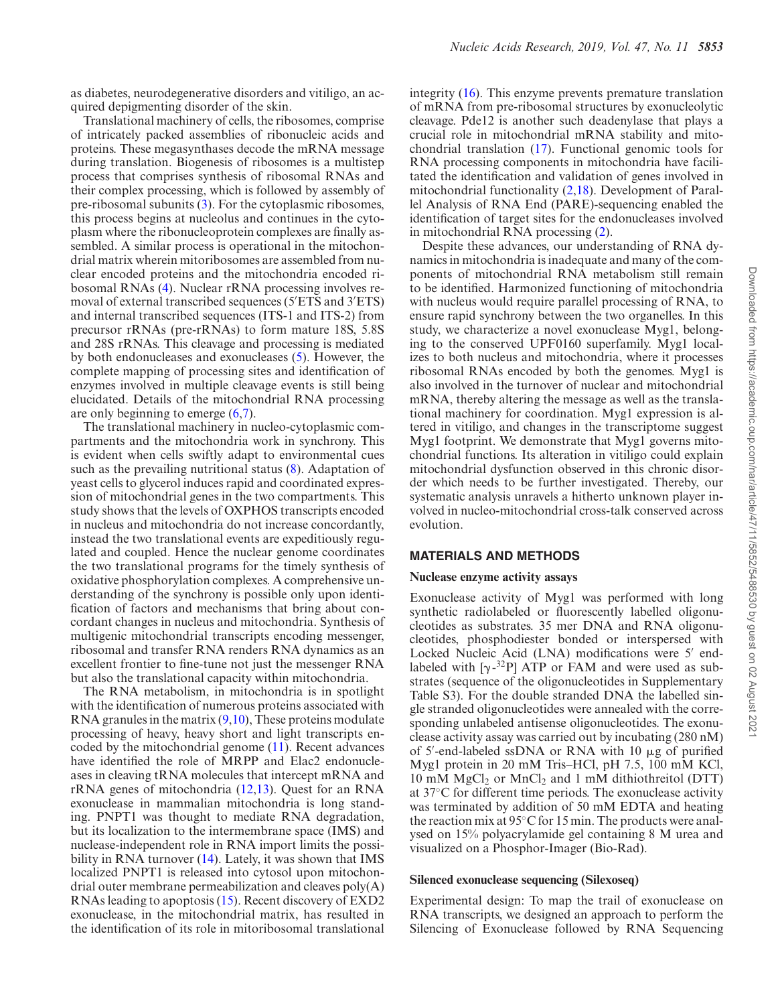as diabetes, neurodegenerative disorders and vitiligo, an acquired depigmenting disorder of the skin.

Translational machinery of cells, the ribosomes, comprise of intricately packed assemblies of ribonucleic acids and proteins. These megasynthases decode the mRNA message during translation. Biogenesis of ribosomes is a multistep process that comprises synthesis of ribosomal RNAs and their complex processing, which is followed by assembly of pre-ribosomal subunits (3). For the cytoplasmic ribosomes, this process begins at nucleolus and continues in the cytoplasm where the ribonucleoprotein complexes are finally assembled. A similar process is operational in the mitochondrial matrix wherein mitoribosomes are assembled from nuclear encoded proteins and the mitochondria encoded ribosomal RNAs (4). Nuclear rRNA processing involves removal of external transcribed sequences (5′ETS and 3′ETS) and internal transcribed sequences (ITS-1 and ITS-2) from precursor rRNAs (pre-rRNAs) to form mature 18S, 5.8S and 28S rRNAs. This cleavage and processing is mediated by both endonucleases and exonucleases (5). However, the complete mapping of processing sites and identification of enzymes involved in multiple cleavage events is still being elucidated. Details of the mitochondrial RNA processing are only beginning to emerge (6,7).

The translational machinery in nucleo-cytoplasmic compartments and the mitochondria work in synchrony. This is evident when cells swiftly adapt to environmental cues such as the prevailing nutritional status (8). Adaptation of yeast cells to glycerol induces rapid and coordinated expression of mitochondrial genes in the two compartments. This study shows that the levels of OXPHOS transcripts encoded in nucleus and mitochondria do not increase concordantly, instead the two translational events are expeditiously regulated and coupled. Hence the nuclear genome coordinates the two translational programs for the timely synthesis of oxidative phosphorylation complexes. A comprehensive understanding of the synchrony is possible only upon identification of factors and mechanisms that bring about concordant changes in nucleus and mitochondria. Synthesis of multigenic mitochondrial transcripts encoding messenger, ribosomal and transfer RNA renders RNA dynamics as an excellent frontier to fine-tune not just the messenger RNA but also the translational capacity within mitochondria.

The RNA metabolism, in mitochondria is in spotlight with the identification of numerous proteins associated with RNA granules in the matrix  $(9,10)$ , These proteins modulate processing of heavy, heavy short and light transcripts encoded by the mitochondrial genome (11). Recent advances have identified the role of MRPP and Elac2 endonucleases in cleaving tRNA molecules that intercept mRNA and rRNA genes of mitochondria (12,13). Quest for an RNA exonuclease in mammalian mitochondria is long standing. PNPT1 was thought to mediate RNA degradation, but its localization to the intermembrane space (IMS) and nuclease-independent role in RNA import limits the possibility in RNA turnover (14). Lately, it was shown that IMS localized PNPT1 is released into cytosol upon mitochondrial outer membrane permeabilization and cleaves poly(A) RNAs leading to apoptosis (15). Recent discovery of EXD2 exonuclease, in the mitochondrial matrix, has resulted in the identification of its role in mitoribosomal translational integrity (16). This enzyme prevents premature translation of mRNA from pre-ribosomal structures by exonucleolytic cleavage. Pde12 is another such deadenylase that plays a crucial role in mitochondrial mRNA stability and mitochondrial translation (17). Functional genomic tools for RNA processing components in mitochondria have facilitated the identification and validation of genes involved in mitochondrial functionality (2,18). Development of Parallel Analysis of RNA End (PARE)-sequencing enabled the identification of target sites for the endonucleases involved in mitochondrial RNA processing (2).

Despite these advances, our understanding of RNA dynamics in mitochondria is inadequate and many of the components of mitochondrial RNA metabolism still remain to be identified. Harmonized functioning of mitochondria with nucleus would require parallel processing of RNA, to ensure rapid synchrony between the two organelles. In this study, we characterize a novel exonuclease Myg1, belonging to the conserved UPF0160 superfamily. Myg1 localizes to both nucleus and mitochondria, where it processes ribosomal RNAs encoded by both the genomes. Myg1 is also involved in the turnover of nuclear and mitochondrial mRNA, thereby altering the message as well as the translational machinery for coordination. Myg1 expression is altered in vitiligo, and changes in the transcriptome suggest Myg1 footprint. We demonstrate that Myg1 governs mitochondrial functions. Its alteration in vitiligo could explain mitochondrial dysfunction observed in this chronic disorder which needs to be further investigated. Thereby, our systematic analysis unravels a hitherto unknown player involved in nucleo-mitochondrial cross-talk conserved across evolution.

#### **MATERIALS AND METHODS**

#### **Nuclease enzyme activity assays**

Exonuclease activity of Myg1 was performed with long synthetic radiolabeled or fluorescently labelled oligonucleotides as substrates. 35 mer DNA and RNA oligonucleotides, phosphodiester bonded or interspersed with Locked Nucleic Acid (LNA) modifications were 5′ endlabeled with  $[\gamma^{-32}P]$  ATP or FAM and were used as substrates (sequence of the oligonucleotides in Supplementary Table S3). For the double stranded DNA the labelled single stranded oligonucleotides were annealed with the corresponding unlabeled antisense oligonucleotides. The exonuclease activity assay was carried out by incubating (280 nM) of 5'-end-labeled ssDNA or RNA with 10 µg of purified Myg1 protein in 20 mM Tris–HCl, pH 7.5, 100 mM KCl, 10 mM  $MgCl<sub>2</sub>$  or  $MnCl<sub>2</sub>$  and 1 mM dithiothreitol (DTT) at 37◦C for different time periods. The exonuclease activity was terminated by addition of 50 mM EDTA and heating the reaction mix at 95◦C for 15 min. The products were analysed on 15% polyacrylamide gel containing 8 M urea and visualized on a Phosphor-Imager (Bio-Rad).

# **Silenced exonuclease sequencing (Silexoseq)**

Experimental design: To map the trail of exonuclease on RNA transcripts, we designed an approach to perform the Silencing of Exonuclease followed by RNA Sequencing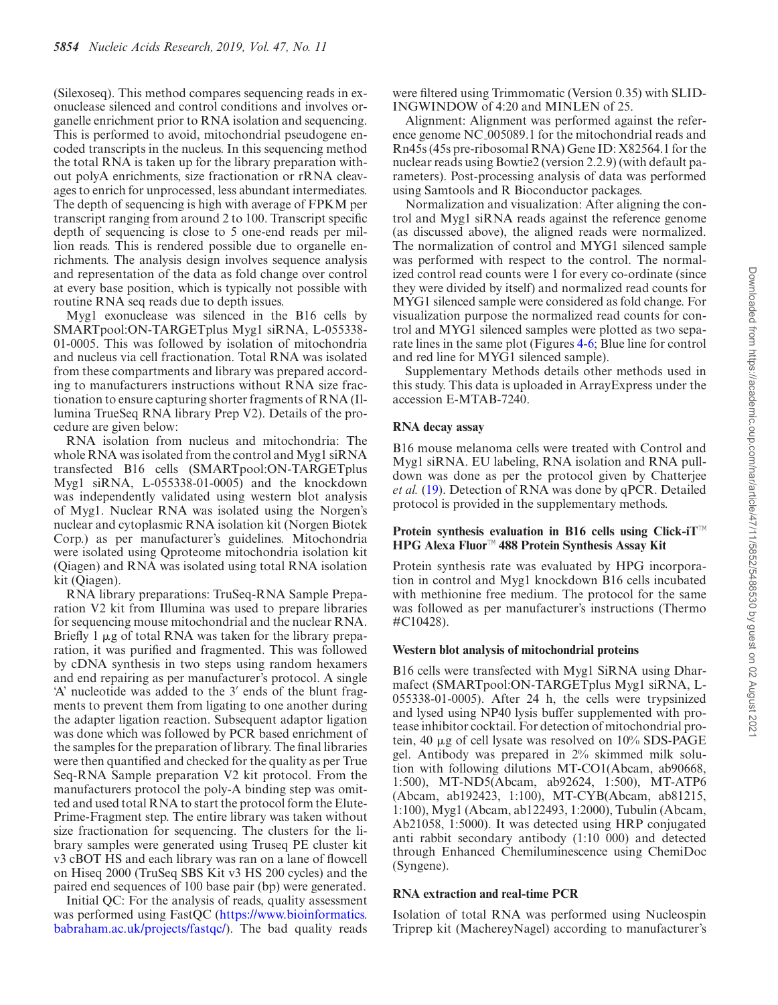(Silexoseq). This method compares sequencing reads in exonuclease silenced and control conditions and involves organelle enrichment prior to RNA isolation and sequencing. This is performed to avoid, mitochondrial pseudogene encoded transcripts in the nucleus. In this sequencing method the total RNA is taken up for the library preparation without polyA enrichments, size fractionation or rRNA cleavages to enrich for unprocessed, less abundant intermediates. The depth of sequencing is high with average of FPKM per transcript ranging from around 2 to 100. Transcript specific depth of sequencing is close to 5 one-end reads per million reads. This is rendered possible due to organelle enrichments. The analysis design involves sequence analysis and representation of the data as fold change over control at every base position, which is typically not possible with routine RNA seq reads due to depth issues.

Myg1 exonuclease was silenced in the B16 cells by SMARTpool:ON-TARGETplus Myg1 siRNA, L-055338- 01-0005. This was followed by isolation of mitochondria and nucleus via cell fractionation. Total RNA was isolated from these compartments and library was prepared according to manufacturers instructions without RNA size fractionation to ensure capturing shorter fragments of RNA (Illumina TrueSeq RNA library Prep V2). Details of the procedure are given below:

RNA isolation from nucleus and mitochondria: The whole RNA was isolated from the control and Myg1 siRNA transfected B16 cells (SMARTpool:ON-TARGETplus Myg1 siRNA, L-055338-01-0005) and the knockdown was independently validated using western blot analysis of Myg1. Nuclear RNA was isolated using the Norgen's nuclear and cytoplasmic RNA isolation kit (Norgen Biotek Corp.) as per manufacturer's guidelines. Mitochondria were isolated using Qproteome mitochondria isolation kit (Qiagen) and RNA was isolated using total RNA isolation kit (Qiagen).

RNA library preparations: TruSeq-RNA Sample Preparation V2 kit from Illumina was used to prepare libraries for sequencing mouse mitochondrial and the nuclear RNA. Briefly 1  $\mu$ g of total RNA was taken for the library preparation, it was purified and fragmented. This was followed by cDNA synthesis in two steps using random hexamers and end repairing as per manufacturer's protocol. A single 'A' nucleotide was added to the 3′ ends of the blunt fragments to prevent them from ligating to one another during the adapter ligation reaction. Subsequent adaptor ligation was done which was followed by PCR based enrichment of the samples for the preparation of library. The final libraries were then quantified and checked for the quality as per True Seq-RNA Sample preparation V2 kit protocol. From the manufacturers protocol the poly-A binding step was omitted and used total RNA to start the protocol form the Elute-Prime-Fragment step. The entire library was taken without size fractionation for sequencing. The clusters for the library samples were generated using Truseq PE cluster kit v3 cBOT HS and each library was ran on a lane of flowcell on Hiseq 2000 (TruSeq SBS Kit v3 HS 200 cycles) and the paired end sequences of 100 base pair (bp) were generated.

Initial QC: For the analysis of reads, quality assessment was performed using FastQC (https://www.bioinformatics. babraham.ac.uk/projects/fastqc/). The bad quality reads

were filtered using Trimmomatic (Version 0.35) with SLID-INGWINDOW of 4:20 and MINLEN of 25.

Alignment: Alignment was performed against the reference genome NC<sub>-005089</sub>.1 for the mitochondrial reads and Rn45s (45s pre-ribosomal RNA) Gene ID: X82564.1 for the nuclear reads using Bowtie2 (version 2.2.9) (with default parameters). Post-processing analysis of data was performed using Samtools and R Bioconductor packages.

Normalization and visualization: After aligning the control and Myg1 siRNA reads against the reference genome (as discussed above), the aligned reads were normalized. The normalization of control and MYG1 silenced sample was performed with respect to the control. The normalized control read counts were 1 for every co-ordinate (since they were divided by itself) and normalized read counts for MYG1 silenced sample were considered as fold change. For visualization purpose the normalized read counts for control and MYG1 silenced samples were plotted as two separate lines in the same plot (Figures 4-6; Blue line for control and red line for MYG1 silenced sample).

Supplementary Methods details other methods used in this study. This data is uploaded in ArrayExpress under the accession E-MTAB-7240.

#### **RNA decay assay**

B16 mouse melanoma cells were treated with Control and Myg1 siRNA. EU labeling, RNA isolation and RNA pulldown was done as per the protocol given by Chatterjee *et al.* (19). Detection of RNA was done by qPCR. Detailed protocol is provided in the supplementary methods.

### **Protein synthesis evaluation in B16 cells using Click-iT**™ **HPG Alexa Fluor**™ **488 Protein Synthesis Assay Kit**

Protein synthesis rate was evaluated by HPG incorporation in control and Myg1 knockdown B16 cells incubated with methionine free medium. The protocol for the same was followed as per manufacturer's instructions (Thermo #C10428).

#### **Western blot analysis of mitochondrial proteins**

B16 cells were transfected with Myg1 SiRNA using Dharmafect (SMARTpool:ON-TARGETplus Myg1 siRNA, L-055338-01-0005). After 24 h, the cells were trypsinized and lysed using NP40 lysis buffer supplemented with protease inhibitor cocktail. For detection of mitochondrial protein, 40  $\mu$ g of cell lysate was resolved on 10% SDS-PAGE gel. Antibody was prepared in 2% skimmed milk solution with following dilutions MT-CO1(Abcam, ab90668, 1:500), MT-ND5(Abcam, ab92624, 1:500), MT-ATP6 (Abcam, ab192423, 1:100), MT-CYB(Abcam, ab81215, 1:100), Myg1 (Abcam, ab122493, 1:2000), Tubulin (Abcam, Ab21058, 1:5000). It was detected using HRP conjugated anti rabbit secondary antibody (1:10 000) and detected through Enhanced Chemiluminescence using ChemiDoc (Syngene).

#### **RNA extraction and real-time PCR**

Isolation of total RNA was performed using Nucleospin Triprep kit (MachereyNagel) according to manufacturer's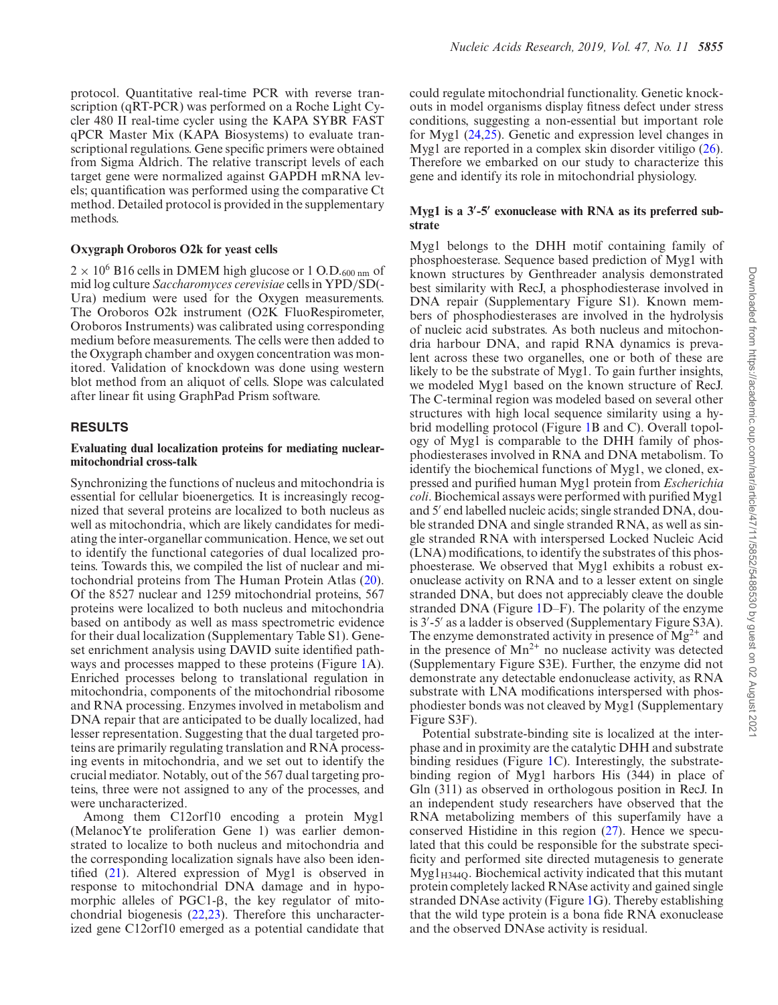protocol. Quantitative real-time PCR with reverse transcription (qRT-PCR) was performed on a Roche Light Cycler 480 II real-time cycler using the KAPA SYBR FAST qPCR Master Mix (KAPA Biosystems) to evaluate transcriptional regulations. Gene specific primers were obtained from Sigma Aldrich. The relative transcript levels of each target gene were normalized against GAPDH mRNA levels; quantification was performed using the comparative Ct method. Detailed protocol is provided in the supplementary methods.

#### **Oxygraph Oroboros O2k for yeast cells**

 $2 \times 10^6$  B16 cells in DMEM high glucose or 1 O.D.<sub>600 nm</sub> of mid log culture *Saccharomyces cerevisiae* cells in YPD/SD(- Ura) medium were used for the Oxygen measurements. The Oroboros O2k instrument (O2K FluoRespirometer, Oroboros Instruments) was calibrated using corresponding medium before measurements. The cells were then added to the Oxygraph chamber and oxygen concentration was monitored. Validation of knockdown was done using western blot method from an aliquot of cells. Slope was calculated after linear fit using GraphPad Prism software.

# **RESULTS**

# **Evaluating dual localization proteins for mediating nuclearmitochondrial cross-talk**

Synchronizing the functions of nucleus and mitochondria is essential for cellular bioenergetics. It is increasingly recognized that several proteins are localized to both nucleus as well as mitochondria, which are likely candidates for mediating the inter-organellar communication. Hence, we set out to identify the functional categories of dual localized proteins. Towards this, we compiled the list of nuclear and mitochondrial proteins from The Human Protein Atlas (20). Of the 8527 nuclear and 1259 mitochondrial proteins, 567 proteins were localized to both nucleus and mitochondria based on antibody as well as mass spectrometric evidence for their dual localization (Supplementary Table S1). Geneset enrichment analysis using DAVID suite identified pathways and processes mapped to these proteins (Figure 1A). Enriched processes belong to translational regulation in mitochondria, components of the mitochondrial ribosome and RNA processing. Enzymes involved in metabolism and DNA repair that are anticipated to be dually localized, had lesser representation. Suggesting that the dual targeted proteins are primarily regulating translation and RNA processing events in mitochondria, and we set out to identify the crucial mediator. Notably, out of the 567 dual targeting proteins, three were not assigned to any of the processes, and were uncharacterized.

Among them C12orf10 encoding a protein Myg1 (MelanocYte proliferation Gene 1) was earlier demonstrated to localize to both nucleus and mitochondria and the corresponding localization signals have also been identified (21). Altered expression of Myg1 is observed in response to mitochondrial DNA damage and in hypomorphic alleles of  $PGC1-\beta$ , the key regulator of mitochondrial biogenesis (22,23). Therefore this uncharacterized gene C12orf10 emerged as a potential candidate that could regulate mitochondrial functionality. Genetic knockouts in model organisms display fitness defect under stress conditions, suggesting a non-essential but important role for Myg1 (24,25). Genetic and expression level changes in Myg1 are reported in a complex skin disorder vitiligo (26). Therefore we embarked on our study to characterize this gene and identify its role in mitochondrial physiology.

# **Myg1 is a 3**′ **-5**′ **exonuclease with RNA as its preferred substrate**

Myg1 belongs to the DHH motif containing family of phosphoesterase. Sequence based prediction of Myg1 with known structures by Genthreader analysis demonstrated best similarity with RecJ, a phosphodiesterase involved in DNA repair (Supplementary Figure S1). Known members of phosphodiesterases are involved in the hydrolysis of nucleic acid substrates. As both nucleus and mitochondria harbour DNA, and rapid RNA dynamics is prevalent across these two organelles, one or both of these are likely to be the substrate of Myg1. To gain further insights, we modeled Myg1 based on the known structure of RecJ. The C-terminal region was modeled based on several other structures with high local sequence similarity using a hybrid modelling protocol (Figure 1B and C). Overall topology of Myg1 is comparable to the DHH family of phosphodiesterases involved in RNA and DNA metabolism. To identify the biochemical functions of Myg1, we cloned, expressed and purified human Myg1 protein from *Escherichia coli*. Biochemical assays were performed with purified Myg1 and 5′ end labelled nucleic acids; single stranded DNA, double stranded DNA and single stranded RNA, as well as single stranded RNA with interspersed Locked Nucleic Acid (LNA) modifications, to identify the substrates of this phosphoesterase. We observed that Myg1 exhibits a robust exonuclease activity on RNA and to a lesser extent on single stranded DNA, but does not appreciably cleave the double stranded DNA (Figure 1D–F). The polarity of the enzyme is 3′ -5′ as a ladder is observed (Supplementary Figure S3A). The enzyme demonstrated activity in presence of  $Mg^{2+}$  and in the presence of  $Mn^{2+}$  no nuclease activity was detected (Supplementary Figure S3E). Further, the enzyme did not demonstrate any detectable endonuclease activity, as RNA substrate with LNA modifications interspersed with phosphodiester bonds was not cleaved by Myg1 (Supplementary Figure S3F).

Potential substrate-binding site is localized at the interphase and in proximity are the catalytic DHH and substrate binding residues (Figure 1C). Interestingly, the substratebinding region of Myg1 harbors His (344) in place of Gln (311) as observed in orthologous position in RecJ. In an independent study researchers have observed that the RNA metabolizing members of this superfamily have a conserved Histidine in this region  $(27)$ . Hence we speculated that this could be responsible for the substrate specificity and performed site directed mutagenesis to generate  $Myg1_{H344Q}$ . Biochemical activity indicated that this mutant protein completely lacked RNAse activity and gained single stranded DNAse activity (Figure 1G). Thereby establishing that the wild type protein is a bona fide RNA exonuclease and the observed DNAse activity is residual.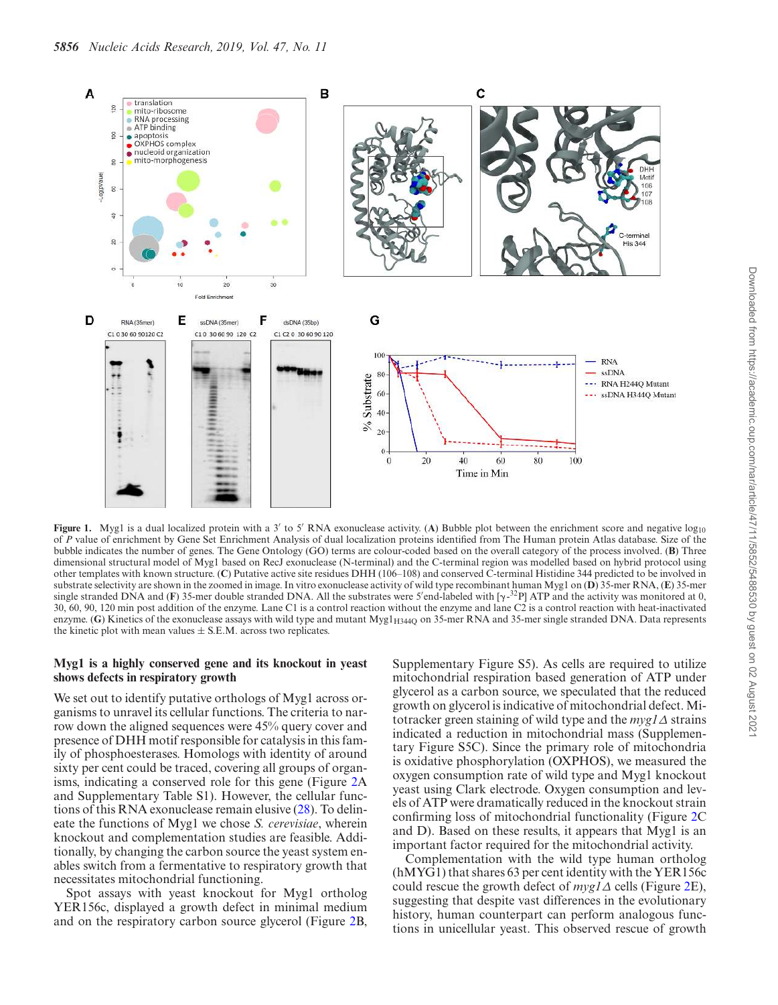

**Figure 1.** Myg1 is a dual localized protein with a 3' to 5' RNA exonuclease activity. (A) Bubble plot between the enrichment score and negative log<sub>10</sub> of *P* value of enrichment by Gene Set Enrichment Analysis of dual localization proteins identified from The Human protein Atlas database. Size of the bubble indicates the number of genes. The Gene Ontology (GO) terms are colour-coded based on the overall category of the process involved. (**B**) Three dimensional structural model of Myg1 based on RecJ exonuclease (N-terminal) and the C-terminal region was modelled based on hybrid protocol using other templates with known structure. (**C**) Putative active site residues DHH (106–108) and conserved C-terminal Histidine 344 predicted to be involved in substrate selectivity are shown in the zoomed in image. In vitro exonuclease activity of wild type recombinant human Myg1 on (**D**) 35-mer RNA, (**E**) 35-mer single stranded DNA and (**F**) 35-mer double stranded DNA. All the substrates were 5'end-labeled with  $[\gamma^{-32}P]$  ATP and the activity was monitored at 0, 30, 60, 90, 120 min post addition of the enzyme. Lane C1 is a control reaction without the enzyme and lane C2 is a control reaction with heat-inactivated enzyme. (G) Kinetics of the exonuclease assays with wild type and mutant Myg1<sub>H3440</sub> on 35-mer RNA and 35-mer single stranded DNA. Data represents the kinetic plot with mean values  $\pm$  S.E.M. across two replicates.

# **Myg1 is a highly conserved gene and its knockout in yeast shows defects in respiratory growth**

We set out to identify putative orthologs of Myg1 across organisms to unravel its cellular functions. The criteria to narrow down the aligned sequences were 45% query cover and presence of DHH motif responsible for catalysis in this family of phosphoesterases. Homologs with identity of around sixty per cent could be traced, covering all groups of organisms, indicating a conserved role for this gene (Figure 2A and Supplementary Table S1). However, the cellular functions of this RNA exonuclease remain elusive (28). To delineate the functions of Myg1 we chose *S. cerevisiae*, wherein knockout and complementation studies are feasible. Additionally, by changing the carbon source the yeast system enables switch from a fermentative to respiratory growth that necessitates mitochondrial functioning.

Spot assays with yeast knockout for Myg1 ortholog YER156c, displayed a growth defect in minimal medium and on the respiratory carbon source glycerol (Figure 2B,

Supplementary Figure S5). As cells are required to utilize mitochondrial respiration based generation of ATP under glycerol as a carbon source, we speculated that the reduced growth on glycerol is indicative of mitochondrial defect. Mitotracker green staining of wild type and the *myg1*∆ strains indicated a reduction in mitochondrial mass (Supplementary Figure S5C). Since the primary role of mitochondria is oxidative phosphorylation (OXPHOS), we measured the oxygen consumption rate of wild type and Myg1 knockout yeast using Clark electrode. Oxygen consumption and levels of ATP were dramatically reduced in the knockout strain confirming loss of mitochondrial functionality (Figure 2C and D). Based on these results, it appears that Myg1 is an important factor required for the mitochondrial activity.

Complementation with the wild type human ortholog (hMYG1) that shares 63 per cent identity with the YER156c could rescue the growth defect of *myg1*∆ cells (Figure 2E), suggesting that despite vast differences in the evolutionary history, human counterpart can perform analogous functions in unicellular yeast. This observed rescue of growth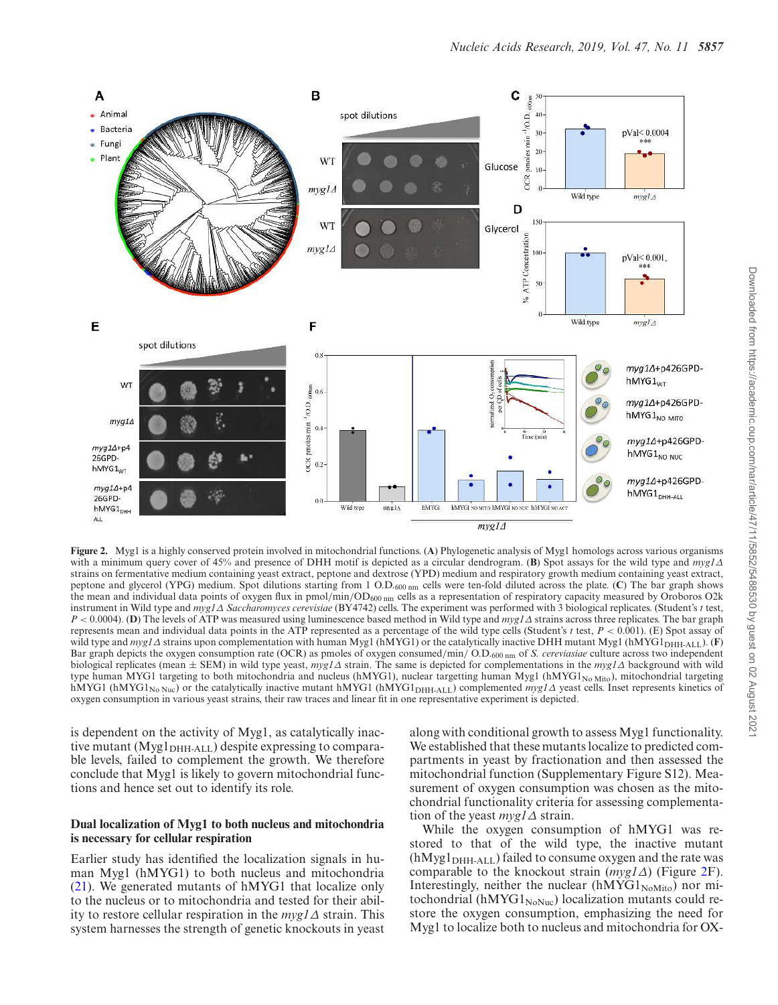

**Figure 2.** Myg1 is a highly conserved protein involved in mitochondrial functions. (**A**) Phylogenetic analysis of Myg1 homologs across various organisms with a minimum query cover of 45% and presence of DHH motif is depicted as a circular dendrogram. (**B**) Spot assays for the wild type and *myg1*∆ strains on fermentative medium containing yeast extract, peptone and dextrose (YPD) medium and respiratory growth medium containing yeast extract, peptone and glycerol (YPG) medium. Spot dilutions starting from 1 O.D.600 nm cells were ten-fold diluted across the plate. (**C**) The bar graph shows the mean and individual data points of oxygen flux in pmol/min/OD600 nm cells as a representation of respiratory capacity measured by Oroboros O2k instrument in Wild type and *myg1*∆ *Saccharomyces cerevisiae* (BY4742) cells. The experiment was performed with 3 biological replicates. (Student's *t* test, *P* < 0.0004). (**D**) The levels of ATP was measured using luminescence based method in Wild type and *myg1*∆ strains across three replicates. The bar graph represents mean and individual data points in the ATP represented as a percentage of the wild type cells (Student's *t* test, *P* < 0.001). (E) Spot assay of wild type and *myg1*∆ strains upon complementation with human Myg1 (hMYG1) or the catalytically inactive DHH mutant Myg1 (hMYG1<sub>DHH-ALL</sub>). (**F**) Bar graph depicts the oxygen consumption rate (OCR) as pmoles of oxygen consumed/min/ O.D.600 nm of *S. cereviasiae* culture across two independent biological replicates (mean ± SEM) in wild type yeast, *myg1*∆ strain. The same is depicted for complementations in the *myg1*∆ background with wild type human MYG1 targeting to both mitochondria and nucleus (hMYG1), nuclear targetting human Myg1 (hMYG1<sub>No Mito</sub>), mitochondrial targeting hMYG1 (hMYG1<sub>No Nuc</sub>) or the catalytically inactive mutant hMYG1 (hMYG1<sub>DHH-ALL</sub>) complemented *myg1*∆ yeast cells. Inset represents kinetics of oxygen consumption in various yeast strains, their raw traces and linear fit in one representative experiment is depicted.

is dependent on the activity of Myg1, as catalytically inactive mutant  $(Myg1<sub>DHH-ALL</sub>)$  despite expressing to comparable levels, failed to complement the growth. We therefore conclude that Myg1 is likely to govern mitochondrial functions and hence set out to identify its role.

# **Dual localization of Myg1 to both nucleus and mitochondria is necessary for cellular respiration**

Earlier study has identified the localization signals in human Myg1 (hMYG1) to both nucleus and mitochondria (21). We generated mutants of hMYG1 that localize only to the nucleus or to mitochondria and tested for their ability to restore cellular respiration in the *myg1*∆ strain. This system harnesses the strength of genetic knockouts in yeast along with conditional growth to assess Myg1 functionality. We established that these mutants localize to predicted compartments in yeast by fractionation and then assessed the mitochondrial function (Supplementary Figure S12). Measurement of oxygen consumption was chosen as the mitochondrial functionality criteria for assessing complementation of the yeast *myg1*∆ strain.

While the oxygen consumption of hMYG1 was restored to that of the wild type, the inactive mutant  $(hMyg1<sub>DHH-ALL</sub>)$  failed to consume oxygen and the rate was comparable to the knockout strain (*myg1*∆) (Figure 2F). Interestingly, neither the nuclear  $(hMYG1_{NoMito})$  nor mitochondrial (hMYG1 $_{\text{NoNuc}}$ ) localization mutants could restore the oxygen consumption, emphasizing the need for Myg1 to localize both to nucleus and mitochondria for OX-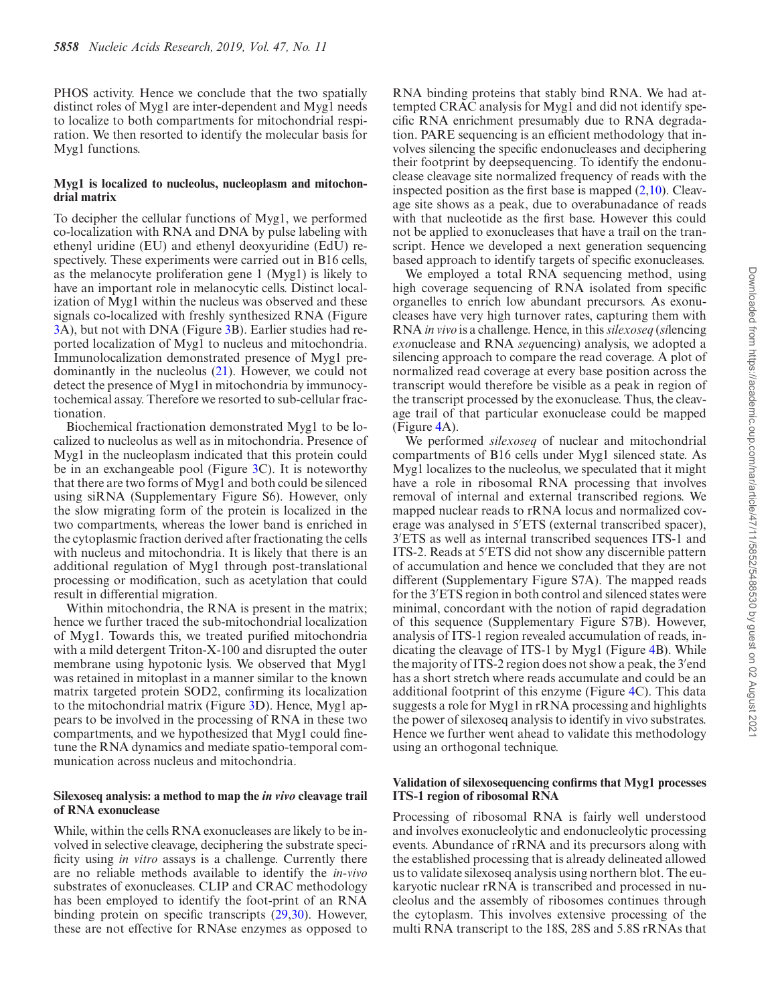PHOS activity. Hence we conclude that the two spatially distinct roles of Myg1 are inter-dependent and Myg1 needs to localize to both compartments for mitochondrial respiration. We then resorted to identify the molecular basis for Myg1 functions.

#### **Myg1 is localized to nucleolus, nucleoplasm and mitochondrial matrix**

To decipher the cellular functions of Myg1, we performed co-localization with RNA and DNA by pulse labeling with ethenyl uridine (EU) and ethenyl deoxyuridine (EdU) respectively. These experiments were carried out in B16 cells, as the melanocyte proliferation gene 1 (Myg1) is likely to have an important role in melanocytic cells. Distinct localization of Myg1 within the nucleus was observed and these signals co-localized with freshly synthesized RNA (Figure 3A), but not with DNA (Figure 3B). Earlier studies had reported localization of Myg1 to nucleus and mitochondria. Immunolocalization demonstrated presence of Myg1 predominantly in the nucleolus (21). However, we could not detect the presence of Myg1 in mitochondria by immunocytochemical assay. Therefore we resorted to sub-cellular fractionation.

Biochemical fractionation demonstrated Myg1 to be localized to nucleolus as well as in mitochondria. Presence of Myg1 in the nucleoplasm indicated that this protein could be in an exchangeable pool (Figure 3C). It is noteworthy that there are two forms of Myg1 and both could be silenced using siRNA (Supplementary Figure S6). However, only the slow migrating form of the protein is localized in the two compartments, whereas the lower band is enriched in the cytoplasmic fraction derived after fractionating the cells with nucleus and mitochondria. It is likely that there is an additional regulation of Myg1 through post-translational processing or modification, such as acetylation that could result in differential migration.

Within mitochondria, the RNA is present in the matrix; hence we further traced the sub-mitochondrial localization of Myg1. Towards this, we treated purified mitochondria with a mild detergent Triton-X-100 and disrupted the outer membrane using hypotonic lysis. We observed that Myg1 was retained in mitoplast in a manner similar to the known matrix targeted protein SOD2, confirming its localization to the mitochondrial matrix (Figure 3D). Hence, Myg1 appears to be involved in the processing of RNA in these two compartments, and we hypothesized that Myg1 could finetune the RNA dynamics and mediate spatio-temporal communication across nucleus and mitochondria.

# **Silexoseq analysis: a method to map the in vivo cleavage trail of RNA exonuclease**

While, within the cells RNA exonucleases are likely to be involved in selective cleavage, deciphering the substrate specificity using *in vitro* assays is a challenge. Currently there are no reliable methods available to identify the *in-vivo* substrates of exonucleases. CLIP and CRAC methodology has been employed to identify the foot-print of an RNA binding protein on specific transcripts (29,30). However, these are not effective for RNAse enzymes as opposed to

RNA binding proteins that stably bind RNA. We had attempted CRAC analysis for Myg1 and did not identify specific RNA enrichment presumably due to RNA degradation. PARE sequencing is an efficient methodology that involves silencing the specific endonucleases and deciphering their footprint by deepsequencing. To identify the endonuclease cleavage site normalized frequency of reads with the inspected position as the first base is mapped  $(2,10)$ . Cleavage site shows as a peak, due to overabunadance of reads with that nucleotide as the first base. However this could not be applied to exonucleases that have a trail on the transcript. Hence we developed a next generation sequencing based approach to identify targets of specific exonucleases.

We employed a total RNA sequencing method, using high coverage sequencing of RNA isolated from specific organelles to enrich low abundant precursors. As exonucleases have very high turnover rates, capturing them with RNA *in vivo* is a challenge. Hence, in this*silexoseq* (*si*lencing *exo*nuclease and RNA *seq*uencing) analysis, we adopted a silencing approach to compare the read coverage. A plot of normalized read coverage at every base position across the transcript would therefore be visible as a peak in region of the transcript processed by the exonuclease. Thus, the cleavage trail of that particular exonuclease could be mapped (Figure 4A).

We performed *silexoseq* of nuclear and mitochondrial compartments of B16 cells under Myg1 silenced state. As Myg1 localizes to the nucleolus, we speculated that it might have a role in ribosomal RNA processing that involves removal of internal and external transcribed regions. We mapped nuclear reads to rRNA locus and normalized coverage was analysed in 5′ETS (external transcribed spacer), 3 ′ETS as well as internal transcribed sequences ITS-1 and ITS-2. Reads at 5′ETS did not show any discernible pattern of accumulation and hence we concluded that they are not different (Supplementary Figure S7A). The mapped reads for the 3′ETS region in both control and silenced states were minimal, concordant with the notion of rapid degradation of this sequence (Supplementary Figure S7B). However, analysis of ITS-1 region revealed accumulation of reads, indicating the cleavage of ITS-1 by Myg1 (Figure 4B). While the majority of ITS-2 region does not show a peak, the 3′ end has a short stretch where reads accumulate and could be an additional footprint of this enzyme (Figure 4C). This data suggests a role for Myg1 in rRNA processing and highlights the power of silexoseq analysis to identify in vivo substrates. Hence we further went ahead to validate this methodology using an orthogonal technique.

#### **Validation of silexosequencing confirms that Myg1 processes ITS-1 region of ribosomal RNA**

Processing of ribosomal RNA is fairly well understood and involves exonucleolytic and endonucleolytic processing events. Abundance of rRNA and its precursors along with the established processing that is already delineated allowed us to validate silexoseq analysis using northern blot. The eukaryotic nuclear rRNA is transcribed and processed in nucleolus and the assembly of ribosomes continues through the cytoplasm. This involves extensive processing of the multi RNA transcript to the 18S, 28S and 5.8S rRNAs that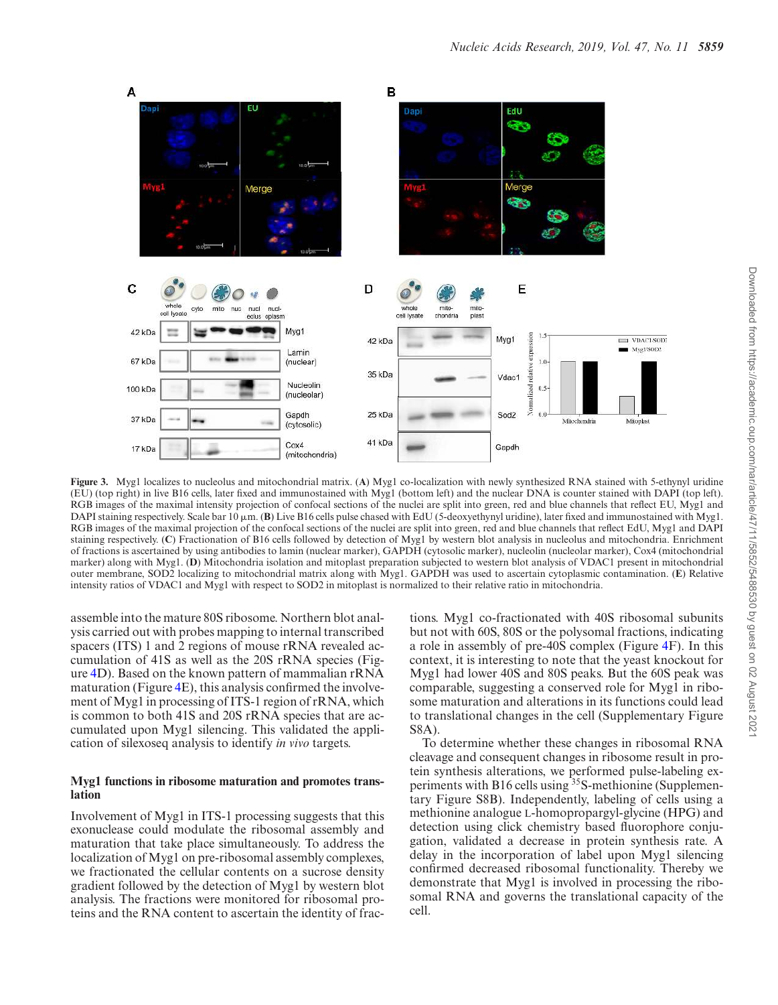

**Figure 3.** Myg1 localizes to nucleolus and mitochondrial matrix. (**A**) Myg1 co-localization with newly synthesized RNA stained with 5-ethynyl uridine (EU) (top right) in live B16 cells, later fixed and immunostained with Myg1 (bottom left) and the nuclear DNA is counter stained with DAPI (top left). RGB images of the maximal intensity projection of confocal sections of the nuclei are split into green, red and blue channels that reflect EU, Myg1 and DAPI staining respectively. Scale bar  $10 \mu m$ . (**B**) Live B16 cells pulse chased with EdU (5-deoxyethynyl uridine), later fixed and immunostained with Myg1. RGB images of the maximal projection of the confocal sections of the nuclei are split into green, red and blue channels that reflect EdU, Myg1 and DAPI staining respectively. (**C**) Fractionation of B16 cells followed by detection of Myg1 by western blot analysis in nucleolus and mitochondria. Enrichment of fractions is ascertained by using antibodies to lamin (nuclear marker), GAPDH (cytosolic marker), nucleolin (nucleolar marker), Cox4 (mitochondrial marker) along with Myg1. (**D**) Mitochondria isolation and mitoplast preparation subjected to western blot analysis of VDAC1 present in mitochondrial outer membrane, SOD2 localizing to mitochondrial matrix along with Myg1. GAPDH was used to ascertain cytoplasmic contamination. (**E**) Relative intensity ratios of VDAC1 and Myg1 with respect to SOD2 in mitoplast is normalized to their relative ratio in mitochondria.

assemble into the mature 80S ribosome. Northern blot analysis carried out with probes mapping to internal transcribed spacers (ITS) 1 and 2 regions of mouse rRNA revealed accumulation of 41S as well as the 20S rRNA species (Figure 4D). Based on the known pattern of mammalian rRNA maturation (Figure 4E), this analysis confirmed the involvement of Myg1 in processing of ITS-1 region of rRNA, which is common to both 41S and 20S rRNA species that are accumulated upon Myg1 silencing. This validated the application of silexoseq analysis to identify *in vivo* targets.

# **Myg1 functions in ribosome maturation and promotes translation**

Involvement of Myg1 in ITS-1 processing suggests that this exonuclease could modulate the ribosomal assembly and maturation that take place simultaneously. To address the localization of Myg1 on pre-ribosomal assembly complexes, we fractionated the cellular contents on a sucrose density gradient followed by the detection of Myg1 by western blot analysis. The fractions were monitored for ribosomal proteins and the RNA content to ascertain the identity of fractions. Myg1 co-fractionated with 40S ribosomal subunits but not with 60S, 80S or the polysomal fractions, indicating a role in assembly of pre-40S complex (Figure 4F). In this context, it is interesting to note that the yeast knockout for Myg1 had lower 40S and 80S peaks. But the 60S peak was comparable, suggesting a conserved role for Myg1 in ribosome maturation and alterations in its functions could lead to translational changes in the cell (Supplementary Figure S8A).

To determine whether these changes in ribosomal RNA cleavage and consequent changes in ribosome result in protein synthesis alterations, we performed pulse-labeling experiments with B16 cells using <sup>35</sup>S-methionine (Supplementary Figure S8B). Independently, labeling of cells using a methionine analogue L-homopropargyl-glycine (HPG) and detection using click chemistry based fluorophore conjugation, validated a decrease in protein synthesis rate. A delay in the incorporation of label upon Myg1 silencing confirmed decreased ribosomal functionality. Thereby we demonstrate that Myg1 is involved in processing the ribosomal RNA and governs the translational capacity of the cell.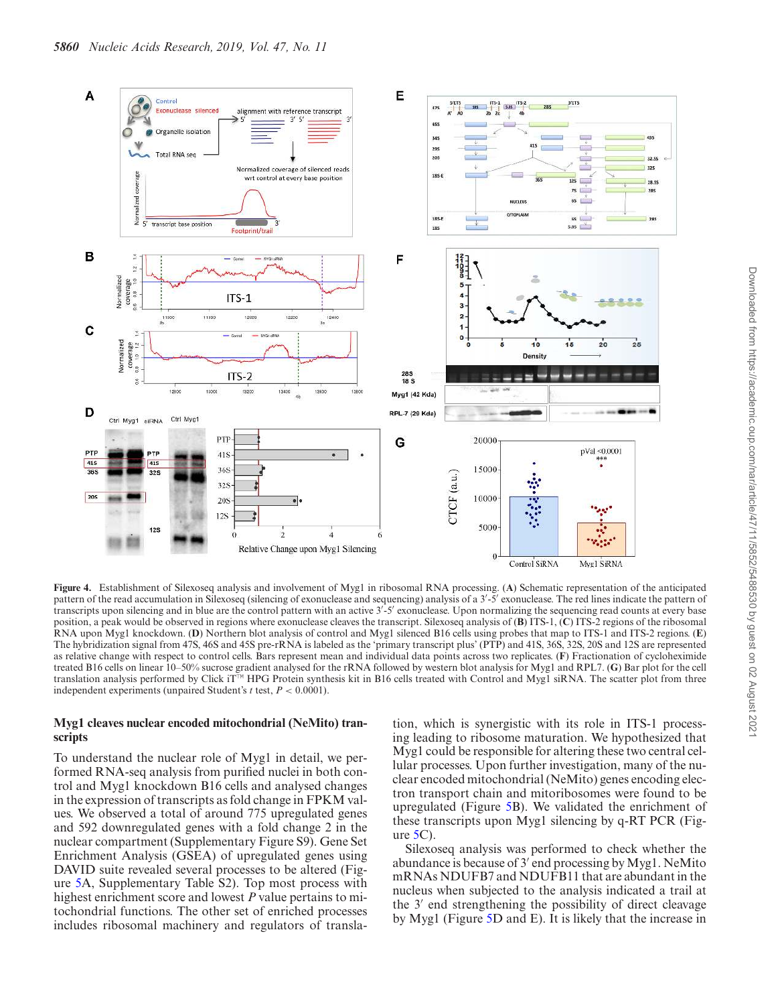

**Figure 4.** Establishment of Silexoseq analysis and involvement of Myg1 in ribosomal RNA processing. (**A**) Schematic representation of the anticipated pattern of the read accumulation in Silexoseq (silencing of exonuclease and sequencing) analysis of a 3'-5' exonuclease. The red lines indicate the pattern of transcripts upon silencing and in blue are the control pattern with an active 3′ -5′ exonuclease. Upon normalizing the sequencing read counts at every base position, a peak would be observed in regions where exonuclease cleaves the transcript. Silexoseq analysis of (**B**) ITS-1, (**C**) ITS-2 regions of the ribosomal RNA upon Myg1 knockdown. (**D**) Northern blot analysis of control and Myg1 silenced B16 cells using probes that map to ITS-1 and ITS-2 regions. (**E**) The hybridization signal from 47S, 46S and 45S pre-rRNA is labeled as the 'primary transcript plus' (PTP) and 41S, 36S, 32S, 20S and 12S are represented as relative change with respect to control cells. Bars represent mean and individual data points across two replicates. (**F**) Fractionation of cycloheximide treated B16 cells on linear 10–50% sucrose gradient analysed for the rRNA followed by western blot analysis for Myg1 and RPL7. (**G**) Bar plot for the cell translation analysis performed by Click iT™ HPG Protein synthesis kit in B16 cells treated with Control and Myg1 siRNA. The scatter plot from three independent experiments (unpaired Student's *t* test, *P* < 0.0001).

#### **Myg1 cleaves nuclear encoded mitochondrial (NeMito) transcripts**

To understand the nuclear role of Myg1 in detail, we performed RNA-seq analysis from purified nuclei in both control and Myg1 knockdown B16 cells and analysed changes in the expression of transcripts as fold change in FPKM values. We observed a total of around 775 upregulated genes and 592 downregulated genes with a fold change 2 in the nuclear compartment (Supplementary Figure S9). Gene Set Enrichment Analysis (GSEA) of upregulated genes using DAVID suite revealed several processes to be altered (Figure 5A, Supplementary Table S2). Top most process with highest enrichment score and lowest *P* value pertains to mitochondrial functions. The other set of enriched processes includes ribosomal machinery and regulators of transla-

tion, which is synergistic with its role in ITS-1 processing leading to ribosome maturation. We hypothesized that Myg1 could be responsible for altering these two central cellular processes. Upon further investigation, many of the nuclear encoded mitochondrial (NeMito) genes encoding electron transport chain and mitoribosomes were found to be upregulated (Figure 5B). We validated the enrichment of these transcripts upon Myg1 silencing by q-RT PCR (Figure  $5C$ ).

Silexoseq analysis was performed to check whether the abundance is because of 3′ end processing by Myg1. NeMito mRNAs NDUFB7 and NDUFB11 that are abundant in the nucleus when subjected to the analysis indicated a trail at the 3′ end strengthening the possibility of direct cleavage by Myg1 (Figure 5D and E). It is likely that the increase in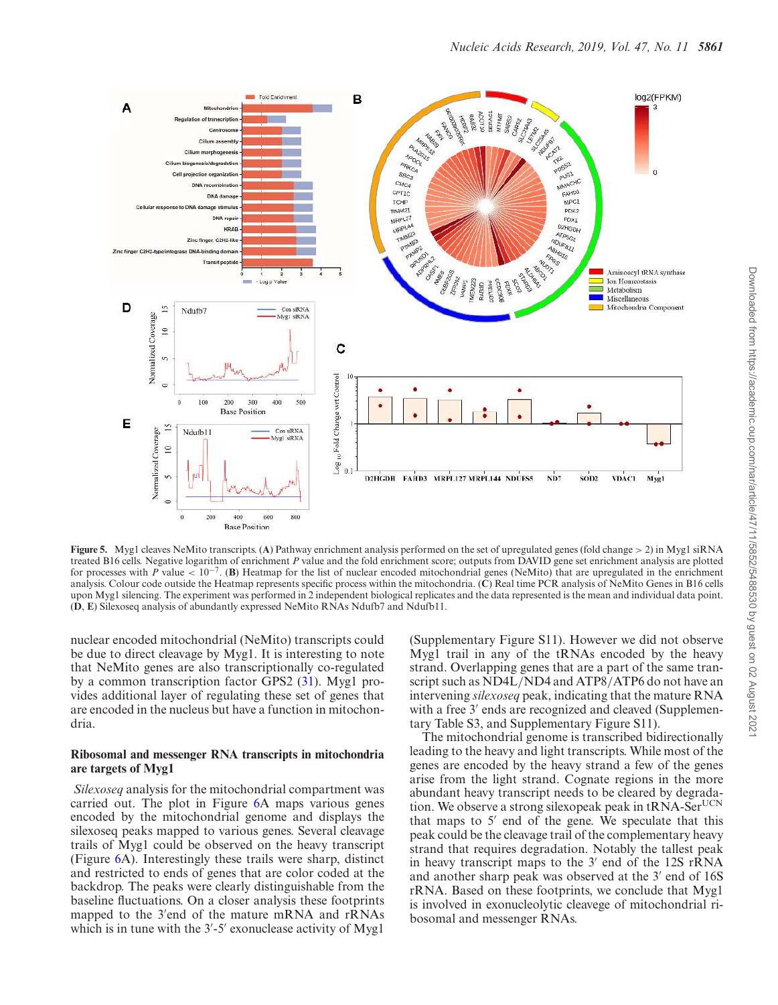

**Figure 5.** Myg1 cleaves NeMito transcripts. (**A**) Pathway enrichment analysis performed on the set of upregulated genes (fold change > 2) in Myg1 siRNA treated B16 cells. Negative logarithm of enrichment *P* value and the fold enrichment score; outputs from DAVID gene set enrichment analysis are plotted for processes with *P* value <  $10^{-7}$ . (**B**) Heatmap for the list of nuclear encoded mitochondrial genes (NeMito) that are upregulated in the enrichment analysis. Colour code outside the Heatmap represents specific process within the mitochondria. (**C**) Real time PCR analysis of NeMito Genes in B16 cells upon Myg1 silencing. The experiment was performed in 2 independent biological replicates and the data represented is the mean and individual data point. (**D**, **E**) Silexoseq analysis of abundantly expressed NeMito RNAs Ndufb7 and Ndufb11.

nuclear encoded mitochondrial (NeMito) transcripts could be due to direct cleavage by Myg1. It is interesting to note that NeMito genes are also transcriptionally co-regulated by a common transcription factor GPS2 (31). Myg1 provides additional layer of regulating these set of genes that are encoded in the nucleus but have a function in mitochondria.

# **Ribosomal and messenger RNA transcripts in mitochondria are targets of Myg1**

*Silexoseq* analysis for the mitochondrial compartment was carried out. The plot in Figure 6A maps various genes encoded by the mitochondrial genome and displays the silexoseq peaks mapped to various genes. Several cleavage trails of Myg1 could be observed on the heavy transcript (Figure 6A). Interestingly these trails were sharp, distinct and restricted to ends of genes that are color coded at the backdrop. The peaks were clearly distinguishable from the baseline fluctuations. On a closer analysis these footprints mapped to the 3′ end of the mature mRNA and rRNAs which is in tune with the 3'-5' exonuclease activity of Myg1

(Supplementary Figure S11). However we did not observe Myg1 trail in any of the tRNAs encoded by the heavy strand. Overlapping genes that are a part of the same transcript such as ND4L/ND4 and ATP8/ATP6 do not have an intervening *silexoseq* peak, indicating that the mature RNA with a free 3' ends are recognized and cleaved (Supplementary Table S3, and Supplementary Figure S11).

The mitochondrial genome is transcribed bidirectionally leading to the heavy and light transcripts. While most of the genes are encoded by the heavy strand a few of the genes arise from the light strand. Cognate regions in the more abundant heavy transcript needs to be cleared by degradation. We observe a strong silexopeak peak in  $tRNA-Set^{UCN}$ that maps to 5′ end of the gene. We speculate that this peak could be the cleavage trail of the complementary heavy strand that requires degradation. Notably the tallest peak in heavy transcript maps to the 3′ end of the 12S rRNA and another sharp peak was observed at the 3′ end of 16S rRNA. Based on these footprints, we conclude that Myg1 is involved in exonucleolytic cleavege of mitochondrial ribosomal and messenger RNAs.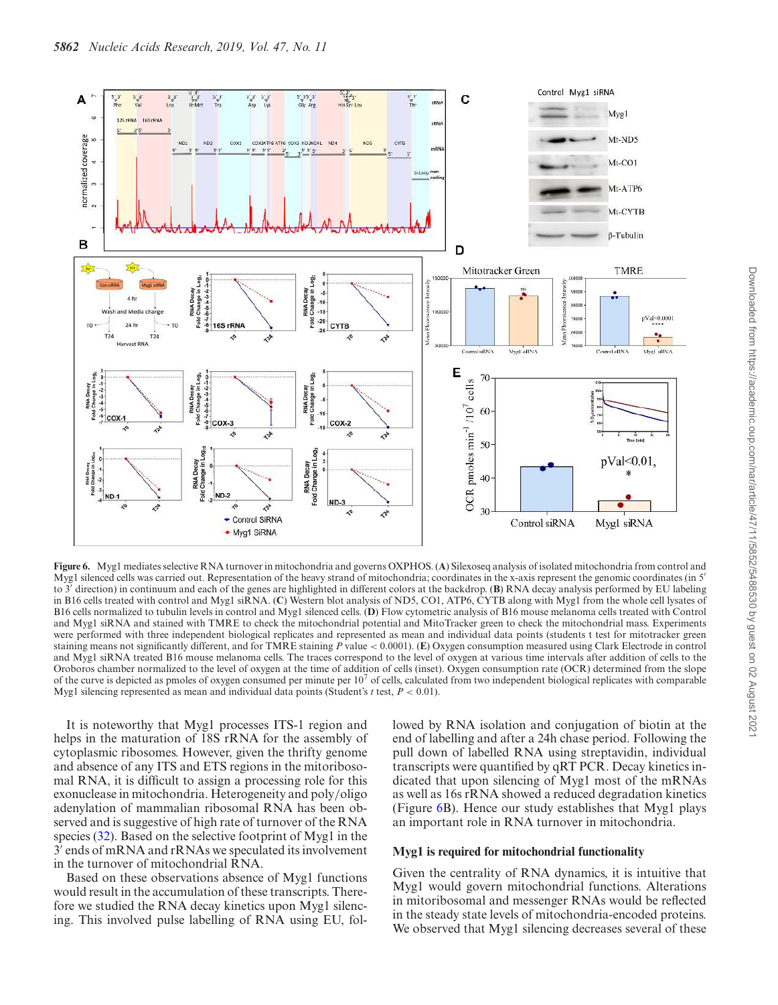

**Figure 6.** Myg1 mediates selective RNA turnover in mitochondria and governs OXPHOS. (**A**) Silexoseq analysis of isolated mitochondria from control and Myg1 silenced cells was carried out. Representation of the heavy strand of mitochondria; coordinates in the x-axis represent the genomic coordinates (in 5′ to 3′ direction) in continuum and each of the genes are highlighted in different colors at the backdrop. (**B**) RNA decay analysis performed by EU labeling in B16 cells treated with control and Myg1 siRNA. (**C**) Western blot analysis of ND5, CO1, ATP6, CYTB along with Myg1 from the whole cell lysates of B16 cells normalized to tubulin levels in control and Myg1 silenced cells. (**D**) Flow cytometric analysis of B16 mouse melanoma cells treated with Control and Myg1 siRNA and stained with TMRE to check the mitochondrial potential and MitoTracker green to check the mitochondrial mass. Experiments were performed with three independent biological replicates and represented as mean and individual data points (students t test for mitotracker green staining means not significantly different, and for TMRE staining *P* value < 0.0001). (**E**) Oxygen consumption measured using Clark Electrode in control and Myg1 siRNA treated B16 mouse melanoma cells. The traces correspond to the level of oxygen at various time intervals after addition of cells to the Oroboros chamber normalized to the level of oxygen at the time of addition of cells (inset). Oxygen consumption rate (OCR) determined from the slope of the curve is depicted as pmoles of oxygen consumed per minute per  $10<sup>7</sup>$  of cells, calculated from two independent biological replicates with comparable Myg1 silencing represented as mean and individual data points (Student's *t* test, *P* < 0.01).

It is noteworthy that Myg1 processes ITS-1 region and helps in the maturation of 18S rRNA for the assembly of cytoplasmic ribosomes. However, given the thrifty genome and absence of any ITS and ETS regions in the mitoribosomal RNA, it is difficult to assign a processing role for this exonuclease in mitochondria. Heterogeneity and poly/oligo adenylation of mammalian ribosomal RNA has been observed and is suggestive of high rate of turnover of the RNA species (32). Based on the selective footprint of Myg1 in the  $3<sup>7</sup>$  ends of mRNA and rRNAs we speculated its involvement in the turnover of mitochondrial RNA.

Based on these observations absence of Myg1 functions would result in the accumulation of these transcripts. Therefore we studied the RNA decay kinetics upon Myg1 silencing. This involved pulse labelling of RNA using EU, followed by RNA isolation and conjugation of biotin at the end of labelling and after a 24h chase period. Following the pull down of labelled RNA using streptavidin, individual transcripts were quantified by qRT PCR. Decay kinetics indicated that upon silencing of Myg1 most of the mRNAs as well as 16s rRNA showed a reduced degradation kinetics (Figure 6B). Hence our study establishes that Myg1 plays an important role in RNA turnover in mitochondria.

#### **Myg1 is required for mitochondrial functionality**

Given the centrality of RNA dynamics, it is intuitive that Myg1 would govern mitochondrial functions. Alterations in mitoribosomal and messenger RNAs would be reflected in the steady state levels of mitochondria-encoded proteins. We observed that Myg1 silencing decreases several of these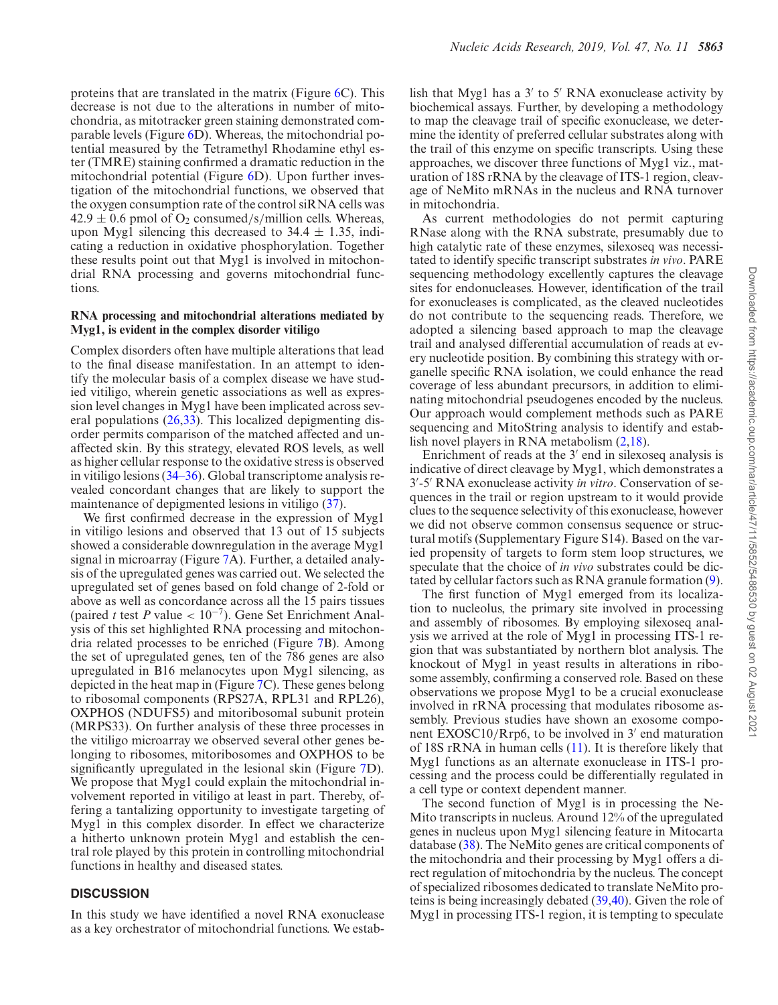proteins that are translated in the matrix (Figure 6C). This decrease is not due to the alterations in number of mitochondria, as mitotracker green staining demonstrated comparable levels (Figure 6D). Whereas, the mitochondrial potential measured by the Tetramethyl Rhodamine ethyl ester (TMRE) staining confirmed a dramatic reduction in the mitochondrial potential (Figure 6D). Upon further investigation of the mitochondrial functions, we observed that the oxygen consumption rate of the control siRNA cells was  $42.9 \pm 0.6$  pmol of O<sub>2</sub> consumed/s/million cells. Whereas, upon Myg1 silencing this decreased to  $34.4 \pm 1.35$ , indicating a reduction in oxidative phosphorylation. Together these results point out that Myg1 is involved in mitochondrial RNA processing and governs mitochondrial functions.

#### **RNA processing and mitochondrial alterations mediated by Myg1, is evident in the complex disorder vitiligo**

Complex disorders often have multiple alterations that lead to the final disease manifestation. In an attempt to identify the molecular basis of a complex disease we have studied vitiligo, wherein genetic associations as well as expression level changes in Myg1 have been implicated across several populations (26,33). This localized depigmenting disorder permits comparison of the matched affected and unaffected skin. By this strategy, elevated ROS levels, as well as higher cellular response to the oxidative stress is observed in vitiligo lesions (34–36). Global transcriptome analysis revealed concordant changes that are likely to support the maintenance of depigmented lesions in vitiligo (37).

We first confirmed decrease in the expression of Myg1 in vitiligo lesions and observed that 13 out of 15 subjects showed a considerable downregulation in the average Myg1 signal in microarray (Figure 7A). Further, a detailed analysis of the upregulated genes was carried out. We selected the upregulated set of genes based on fold change of 2-fold or above as well as concordance across all the 15 pairs tissues (paired *t* test *P* value < 10−<sup>7</sup> ). Gene Set Enrichment Analysis of this set highlighted RNA processing and mitochondria related processes to be enriched (Figure 7B). Among the set of upregulated genes, ten of the 786 genes are also upregulated in B16 melanocytes upon Myg1 silencing, as depicted in the heat map in (Figure 7C). These genes belong to ribosomal components (RPS27A, RPL31 and RPL26), OXPHOS (NDUFS5) and mitoribosomal subunit protein (MRPS33). On further analysis of these three processes in the vitiligo microarray we observed several other genes belonging to ribosomes, mitoribosomes and OXPHOS to be significantly upregulated in the lesional skin (Figure 7D). We propose that Myg1 could explain the mitochondrial involvement reported in vitiligo at least in part. Thereby, offering a tantalizing opportunity to investigate targeting of Myg1 in this complex disorder. In effect we characterize a hitherto unknown protein Myg1 and establish the central role played by this protein in controlling mitochondrial functions in healthy and diseased states.

# **DISCUSSION**

In this study we have identified a novel RNA exonuclease as a key orchestrator of mitochondrial functions. We estab-

lish that Myg1 has a 3′ to 5′ RNA exonuclease activity by biochemical assays. Further, by developing a methodology to map the cleavage trail of specific exonuclease, we determine the identity of preferred cellular substrates along with the trail of this enzyme on specific transcripts. Using these approaches, we discover three functions of Myg1 viz., maturation of 18S rRNA by the cleavage of ITS-1 region, cleavage of NeMito mRNAs in the nucleus and RNA turnover in mitochondria.

As current methodologies do not permit capturing RNase along with the RNA substrate, presumably due to high catalytic rate of these enzymes, silexoseq was necessitated to identify specific transcript substrates *in vivo*. PARE sequencing methodology excellently captures the cleavage sites for endonucleases. However, identification of the trail for exonucleases is complicated, as the cleaved nucleotides do not contribute to the sequencing reads. Therefore, we adopted a silencing based approach to map the cleavage trail and analysed differential accumulation of reads at every nucleotide position. By combining this strategy with organelle specific RNA isolation, we could enhance the read coverage of less abundant precursors, in addition to eliminating mitochondrial pseudogenes encoded by the nucleus. Our approach would complement methods such as PARE sequencing and MitoString analysis to identify and establish novel players in RNA metabolism (2,18).

Enrichment of reads at the 3′ end in silexoseq analysis is indicative of direct cleavage by Myg1, which demonstrates a 3 ′ -5′ RNA exonuclease activity *in vitro*. Conservation of sequences in the trail or region upstream to it would provide clues to the sequence selectivity of this exonuclease, however we did not observe common consensus sequence or structural motifs (Supplementary Figure S14). Based on the varied propensity of targets to form stem loop structures, we speculate that the choice of *in vivo* substrates could be dictated by cellular factors such as RNA granule formation (9).

The first function of Myg1 emerged from its localization to nucleolus, the primary site involved in processing and assembly of ribosomes. By employing silexoseq analysis we arrived at the role of Myg1 in processing ITS-1 region that was substantiated by northern blot analysis. The knockout of Myg1 in yeast results in alterations in ribosome assembly, confirming a conserved role. Based on these observations we propose Myg1 to be a crucial exonuclease involved in rRNA processing that modulates ribosome assembly. Previous studies have shown an exosome component EXOSC10/Rrp6, to be involved in 3′ end maturation of 18S rRNA in human cells (11). It is therefore likely that Myg1 functions as an alternate exonuclease in ITS-1 processing and the process could be differentially regulated in a cell type or context dependent manner.

The second function of Myg1 is in processing the Ne-Mito transcripts in nucleus. Around 12% of the upregulated genes in nucleus upon Myg1 silencing feature in Mitocarta database (38). The NeMito genes are critical components of the mitochondria and their processing by Myg1 offers a direct regulation of mitochondria by the nucleus. The concept of specialized ribosomes dedicated to translate NeMito proteins is being increasingly debated (39,40). Given the role of Myg1 in processing ITS-1 region, it is tempting to speculate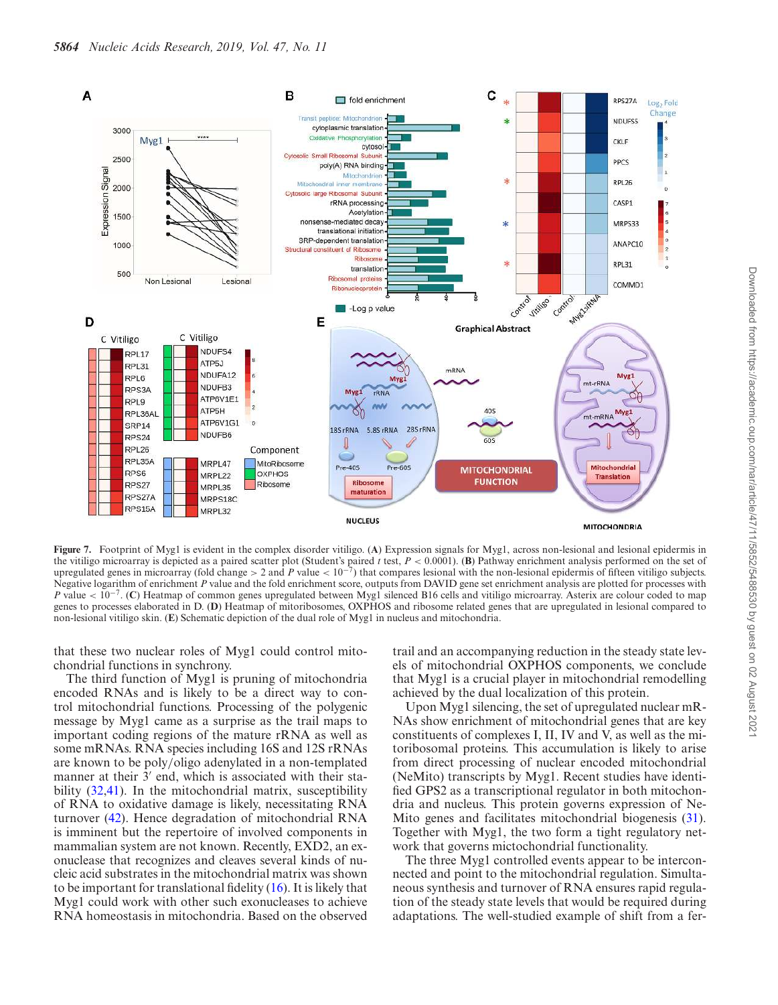

**Figure 7.** Footprint of Myg1 is evident in the complex disorder vitiligo. (**A**) Expression signals for Myg1, across non-lesional and lesional epidermis in the vitiligo microarray is depicted as a paired scatter plot (Student's paired *t* test, *P* < 0.0001). (**B**) Pathway enrichment analysis performed on the set of upregulated genes in microarray (fold change > 2 and *P* value <  $10^{-7}$ ) that compares lesional with the non-lesional epidermis of fifteen vitiligo subjects. Negative logarithm of enrichment *P* value and the fold enrichment score, outputs from DAVID gene set enrichment analysis are plotted for processes with *P* value <  $10^{-7}$ . (C) Heatmap of common genes upregulated between Myg1 silenced B16 cells and vitiligo microarray. Asterix are colour coded to map genes to processes elaborated in D. (**D**) Heatmap of mitoribosomes, OXPHOS and ribosome related genes that are upregulated in lesional compared to non-lesional vitiligo skin. (**E**) Schematic depiction of the dual role of Myg1 in nucleus and mitochondria.

that these two nuclear roles of Myg1 could control mitochondrial functions in synchrony.

The third function of Myg1 is pruning of mitochondria encoded RNAs and is likely to be a direct way to control mitochondrial functions. Processing of the polygenic message by Myg1 came as a surprise as the trail maps to important coding regions of the mature rRNA as well as some mRNAs. RNA species including 16S and 12S rRNAs are known to be poly/oligo adenylated in a non-templated manner at their  $3'$  end, which is associated with their stability (32,41). In the mitochondrial matrix, susceptibility of RNA to oxidative damage is likely, necessitating RNA turnover (42). Hence degradation of mitochondrial RNA is imminent but the repertoire of involved components in mammalian system are not known. Recently, EXD2, an exonuclease that recognizes and cleaves several kinds of nucleic acid substrates in the mitochondrial matrix was shown to be important for translational fidelity (16). It is likely that Myg1 could work with other such exonucleases to achieve RNA homeostasis in mitochondria. Based on the observed

trail and an accompanying reduction in the steady state levels of mitochondrial OXPHOS components, we conclude that Myg1 is a crucial player in mitochondrial remodelling achieved by the dual localization of this protein.

Upon Myg1 silencing, the set of upregulated nuclear mR-NAs show enrichment of mitochondrial genes that are key constituents of complexes I, II, IV and V, as well as the mitoribosomal proteins. This accumulation is likely to arise from direct processing of nuclear encoded mitochondrial (NeMito) transcripts by Myg1. Recent studies have identified GPS2 as a transcriptional regulator in both mitochondria and nucleus. This protein governs expression of Ne-Mito genes and facilitates mitochondrial biogenesis (31). Together with Myg1, the two form a tight regulatory network that governs mictochondrial functionality.

The three Myg1 controlled events appear to be interconnected and point to the mitochondrial regulation. Simultaneous synthesis and turnover of RNA ensures rapid regulation of the steady state levels that would be required during adaptations. The well-studied example of shift from a fer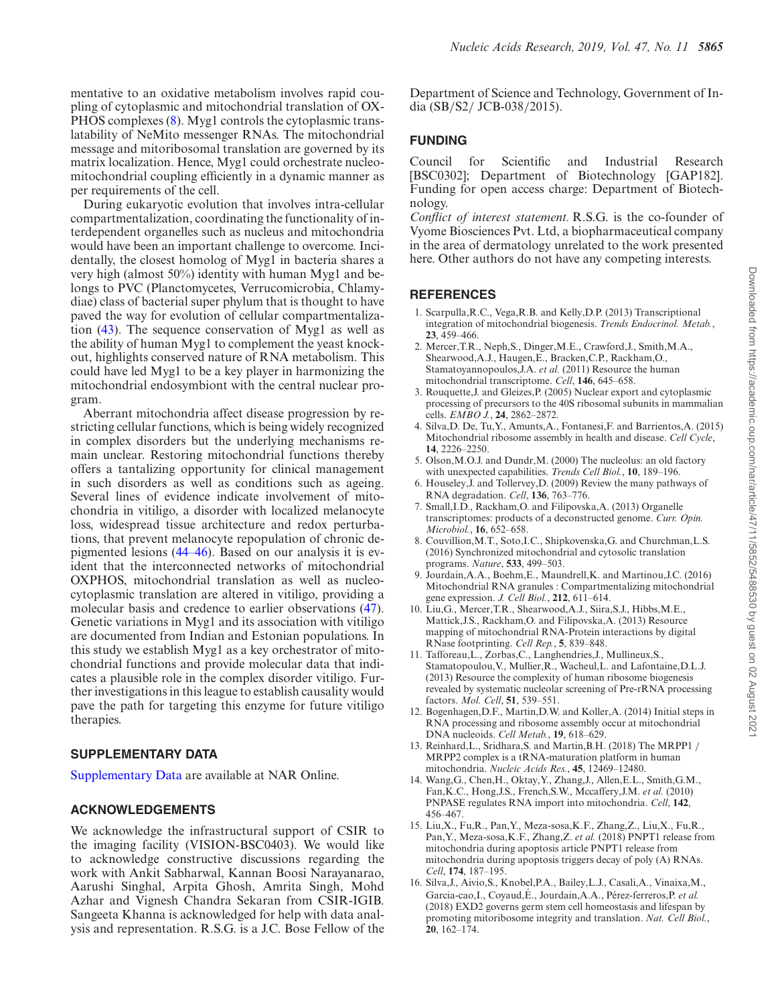mentative to an oxidative metabolism involves rapid coupling of cytoplasmic and mitochondrial translation of OX-PHOS complexes (8). Myg1 controls the cytoplasmic translatability of NeMito messenger RNAs. The mitochondrial message and mitoribosomal translation are governed by its matrix localization. Hence, Myg1 could orchestrate nucleomitochondrial coupling efficiently in a dynamic manner as per requirements of the cell.

During eukaryotic evolution that involves intra-cellular compartmentalization, coordinating the functionality of interdependent organelles such as nucleus and mitochondria would have been an important challenge to overcome. Incidentally, the closest homolog of Myg1 in bacteria shares a very high (almost 50%) identity with human Myg1 and belongs to PVC (Planctomycetes, Verrucomicrobia, Chlamydiae) class of bacterial super phylum that is thought to have paved the way for evolution of cellular compartmentalization (43). The sequence conservation of Myg1 as well as the ability of human Myg1 to complement the yeast knockout, highlights conserved nature of RNA metabolism. This could have led Myg1 to be a key player in harmonizing the mitochondrial endosymbiont with the central nuclear program.

Aberrant mitochondria affect disease progression by restricting cellular functions, which is being widely recognized in complex disorders but the underlying mechanisms remain unclear. Restoring mitochondrial functions thereby offers a tantalizing opportunity for clinical management in such disorders as well as conditions such as ageing. Several lines of evidence indicate involvement of mitochondria in vitiligo, a disorder with localized melanocyte loss, widespread tissue architecture and redox perturbations, that prevent melanocyte repopulation of chronic depigmented lesions (44–46). Based on our analysis it is evident that the interconnected networks of mitochondrial OXPHOS, mitochondrial translation as well as nucleocytoplasmic translation are altered in vitiligo, providing a molecular basis and credence to earlier observations (47). Genetic variations in Myg1 and its association with vitiligo are documented from Indian and Estonian populations. In this study we establish Myg1 as a key orchestrator of mitochondrial functions and provide molecular data that indicates a plausible role in the complex disorder vitiligo. Further investigations in this league to establish causality would pave the path for targeting this enzyme for future vitiligo therapies.

# **SUPPLEMENTARY DATA**

Supplementary Data are available at NAR Online.

# **ACKNOWLEDGEMENTS**

We acknowledge the infrastructural support of CSIR to the imaging facility (VISION-BSC0403). We would like to acknowledge constructive discussions regarding the work with Ankit Sabharwal, Kannan Boosi Narayanarao, Aarushi Singhal, Arpita Ghosh, Amrita Singh, Mohd Azhar and Vignesh Chandra Sekaran from CSIR-IGIB. Sangeeta Khanna is acknowledged for help with data analysis and representation. R.S.G. is a J.C. Bose Fellow of the Department of Science and Technology, Government of India (SB/S2/ JCB-038/2015).

#### **FUNDING**

Council for Scientific and Industrial Research [BSC0302]; Department of Biotechnology [GAP182]. Funding for open access charge: Department of Biotechnology.

*Conflict of interest statement.* R.S.G. is the co-founder of Vyome Biosciences Pvt. Ltd, a biopharmaceutical company in the area of dermatology unrelated to the work presented here. Other authors do not have any competing interests.

#### **REFERENCES**

- 1. Scarpulla,R.C., Vega,R.B. and Kelly,D.P. (2013) Transcriptional integration of mitochondrial biogenesis. *Trends Endocrinol. Metab.*, **23**, 459–466.
- 2. Mercer,T.R., Neph,S., Dinger,M.E., Crawford,J., Smith,M.A., Shearwood,A.J., Haugen,E., Bracken,C.P., Rackham,O., Stamatoyannopoulos,J.A. *et al.* (2011) Resource the human mitochondrial transcriptome. *Cell*, **146**, 645–658.
- 3. Rouquette,J. and Gleizes,P. (2005) Nuclear export and cytoplasmic processing of precursors to the 40S ribosomal subunits in mammalian cells. *EMBO J.*, **24**, 2862–2872.
- 4. Silva,D. De, Tu,Y., Amunts,A., Fontanesi,F. and Barrientos,A. (2015) Mitochondrial ribosome assembly in health and disease. *Cell Cycle*, **14**, 2226–2250.
- 5. Olson,M.O.J. and Dundr,M. (2000) The nucleolus: an old factory with unexpected capabilities. *Trends Cell Biol.*, **10**, 189–196.
- 6. Houseley,J. and Tollervey,D. (2009) Review the many pathways of RNA degradation. *Cell*, **136**, 763–776.
- 7. Small,I.D., Rackham,O. and Filipovska,A. (2013) Organelle transcriptomes: products of a deconstructed genome. *Curr. Opin. Microbiol.*, **16**, 652–658.
- 8. Couvillion,M.T., Soto,I.C., Shipkovenska,G. and Churchman,L.S. (2016) Synchronized mitochondrial and cytosolic translation programs. *Nature*, **533**, 499–503.
- 9. Jourdain,A.A., Boehm,E., Maundrell,K. and Martinou,J.C. (2016) Mitochondrial RNA granules : Compartmentalizing mitochondrial gene expression. *J. Cell Biol.*, **212**, 611–614.
- 10. Liu,G., Mercer,T.R., Shearwood,A.J., Siira,S.J., Hibbs,M.E., Mattick, J.S., Rackham,O. and Filipovska,A. (2013) Resource mapping of mitochondrial RNA-Protein interactions by digital RNase footprinting. *Cell Rep.*, **5**, 839–848.
- 11. Tafforeau,L., Zorbas,C., Langhendries,J., Mullineux,S., Stamatopoulou,V., Mullier,R., Wacheul,L. and Lafontaine,D.L.J. (2013) Resource the complexity of human ribosome biogenesis revealed by systematic nucleolar screening of Pre-rRNA processing factors. *Mol. Cell*, **51**, 539–551.
- 12. Bogenhagen,D.F., Martin,D.W. and Koller,A. (2014) Initial steps in RNA processing and ribosome assembly occur at mitochondrial DNA nucleoids. *Cell Metab.*, **19**, 618–629.
- 13. Reinhard,L., Sridhara,S. and Martin,B.H. (2018) The MRPP1 / MRPP2 complex is a tRNA-maturation platform in human mitochondria. *Nucleic Acids Res.*, **45**, 12469–12480.
- 14. Wang,G., Chen,H., Oktay,Y., Zhang,J., Allen,E.L., Smith,G.M., Fan,K.C., Hong,J.S., French,S.W., Mccaffery,J.M. *et al.* (2010) PNPASE regulates RNA import into mitochondria. *Cell*, **142**, 456–467.
- 15. Liu,X., Fu,R., Pan,Y., Meza-sosa,K.F., Zhang,Z., Liu,X., Fu,R., Pan,Y., Meza-sosa,K.F., Zhang,Z. *et al.* (2018) PNPT1 release from mitochondria during apoptosis article PNPT1 release from mitochondria during apoptosis triggers decay of poly (A) RNAs. *Cell*, **174**, 187–195.
- 16. Silva,J., Aivio,S., Knobel,P.A., Bailey,L.J., Casali,A., Vinaixa,M., Garcia-cao, I., Coyaud, É., Jourdain, A.A., Pérez-ferreros, P. et al. (2018) EXD2 governs germ stem cell homeostasis and lifespan by promoting mitoribosome integrity and translation. *Nat. Cell Biol.*, **20**, 162–174.